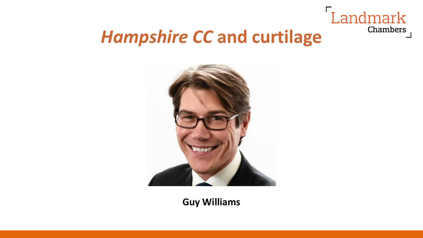

## *Hampshire CC* **and curtilage**



**Guy Williams**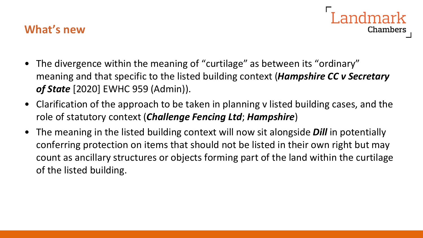## **What's new**

- Chambers
- The divergence within the meaning of "curtilage" as between its "ordinary" meaning and that specific to the listed building context (*Hampshire CC v Secretary of State* [2020] EWHC 959 (Admin)).
- Clarification of the approach to be taken in planning v listed building cases, and the role of statutory context (*Challenge Fencing Ltd*; *Hampshire*)
- The meaning in the listed building context will now sit alongside *Dill* in potentially conferring protection on items that should not be listed in their own right but may count as ancillary structures or objects forming part of the land within the curtilage of the listed building.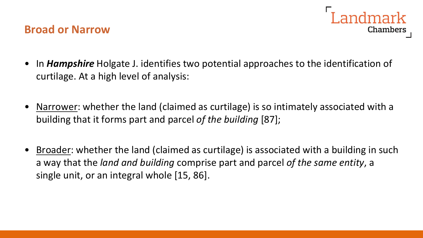#### **Broad or Narrow**



- In *Hampshire* Holgate J. identifies two potential approaches to the identification of curtilage. At a high level of analysis:
- Narrower: whether the land (claimed as curtilage) is so intimately associated with a building that it forms part and parcel *of the building* [87];
- Broader: whether the land (claimed as curtilage) is associated with a building in such a way that the *land and building* comprise part and parcel *of the same entity*, a single unit, or an integral whole [15, 86].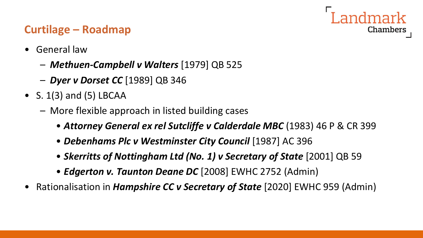## Chambers

## **Curtilage – Roadmap**

- General law
	- *Methuen-Campbell v Walters* [1979] QB 525
	- *Dyer v Dorset CC* [1989] QB 346
- S.  $1(3)$  and  $(5)$  LBCAA
	- More flexible approach in listed building cases
		- *Attorney General ex rel Sutcliffe v Calderdale MBC* (1983) 46 P & CR 399
		- *Debenhams Plc v Westminster City Council* [1987] AC 396
		- *Skerritts of Nottingham Ltd (No. 1) v Secretary of State* [2001] QB 59
		- *Edgerton v. Taunton Deane DC* [2008] EWHC 2752 (Admin)
- Rationalisation in *Hampshire CC v Secretary of State* [2020] EWHC 959 (Admin)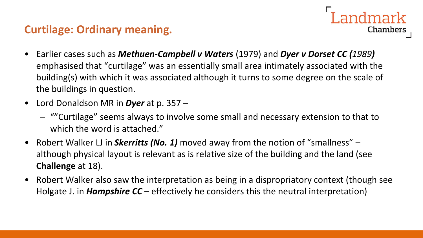#### **Curtilage: Ordinary meaning.**

• Earlier cases such as *Methuen-Campbell v Waters* (1979) and *Dyer v Dorset CC (1989)*  emphasised that "curtilage" was an essentially small area intimately associated with the building(s) with which it was associated although it turns to some degree on the scale of the buildings in question.

Landmark

- Lord Donaldson MR in *Dyer* at p. 357
	- ""Curtilage" seems always to involve some small and necessary extension to that to which the word is attached."
- Robert Walker LJ in *Skerritts (No. 1)* moved away from the notion of "smallness" although physical layout is relevant as is relative size of the building and the land (see **Challenge** at 18).
- Robert Walker also saw the interpretation as being in a dispropriatory context (though see Holgate J. in *Hampshire CC* – effectively he considers this the neutral interpretation)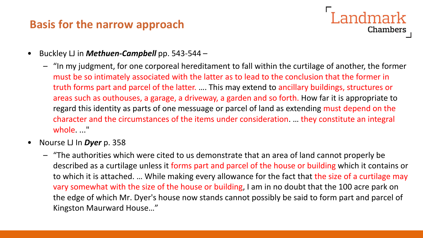## **Basis for the narrow approach**

## Landmark Chambers

- Buckley LJ in *Methuen-Campbell* pp. 543-544
	- "In my judgment, for one corporeal hereditament to fall within the curtilage of another, the former must be so intimately associated with the latter as to lead to the conclusion that the former in truth forms part and parcel of the latter. …. This may extend to ancillary buildings, structures or areas such as outhouses, a garage, a driveway, a garden and so forth. How far it is appropriate to regard this identity as parts of one messuage or parcel of land as extending must depend on the character and the circumstances of the items under consideration. … they constitute an integral whole. ..."
- Nourse LJ In *Dyer* p. 358
	- "The authorities which were cited to us demonstrate that an area of land cannot properly be described as a curtilage unless it forms part and parcel of the house or building which it contains or to which it is attached. … While making every allowance for the fact that the size of a curtilage may vary somewhat with the size of the house or building, I am in no doubt that the 100 acre park on the edge of which Mr. Dyer's house now stands cannot possibly be said to form part and parcel of Kingston Maurward House…"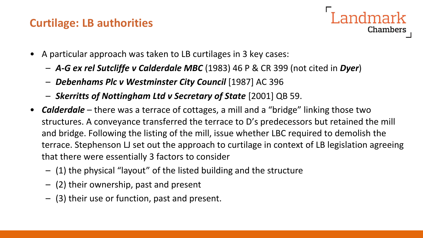## **Curtilage: LB authorities**



- A particular approach was taken to LB curtilages in 3 key cases:
	- *A-G ex rel Sutcliffe v Calderdale MBC* (1983) 46 P & CR 399 (not cited in *Dyer*)
	- *Debenhams Plc v Westminster City Council* [1987] AC 396
	- *Skerritts of Nottingham Ltd v Secretary of State* [2001] QB 59.
- *Calderdale* there was a terrace of cottages, a mill and a "bridge" linking those two structures. A conveyance transferred the terrace to D's predecessors but retained the mill and bridge. Following the listing of the mill, issue whether LBC required to demolish the terrace. Stephenson LJ set out the approach to curtilage in context of LB legislation agreeing that there were essentially 3 factors to consider
	- (1) the physical "layout" of the listed building and the structure
	- (2) their ownership, past and present
	- (3) their use or function, past and present.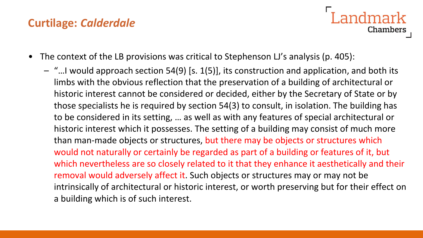## **Curtilage:** *Calderdale*

## **Landmark Chambers**

- The context of the LB provisions was critical to Stephenson LJ's analysis (p. 405):
	- "…I would approach section 54(9) [s. 1(5)], its construction and application, and both its limbs with the obvious reflection that the preservation of a building of architectural or historic interest cannot be considered or decided, either by the Secretary of State or by those specialists he is required by section 54(3) to consult, in isolation. The building has to be considered in its setting, … as well as with any features of special architectural or historic interest which it possesses. The setting of a building may consist of much more than man-made objects or structures, but there may be objects or structures which would not naturally or certainly be regarded as part of a building or features of it, but which nevertheless are so closely related to it that they enhance it aesthetically and their removal would adversely affect it. Such objects or structures may or may not be intrinsically of architectural or historic interest, or worth preserving but for their effect on a building which is of such interest.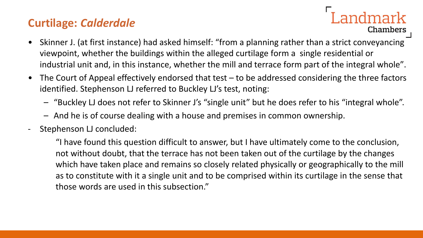## **Curtilage:** *Calderdale*

## Landmark Chambers

- Skinner J. (at first instance) had asked himself: "from a planning rather than a strict conveyancing viewpoint, whether the buildings within the alleged curtilage form a single residential or industrial unit and, in this instance, whether the mill and terrace form part of the integral whole".
- The Court of Appeal effectively endorsed that test to be addressed considering the three factors identified. Stephenson LJ referred to Buckley LJ's test, noting:
	- "Buckley LJ does not refer to Skinner J's "single unit" but he does refer to his "integral whole".
	- And he is of course dealing with a house and premises in common ownership.
	- Stephenson LJ concluded:

"I have found this question difficult to answer, but I have ultimately come to the conclusion, not without doubt, that the terrace has not been taken out of the curtilage by the changes which have taken place and remains so closely related physically or geographically to the mill as to constitute with it a single unit and to be comprised within its curtilage in the sense that those words are used in this subsection."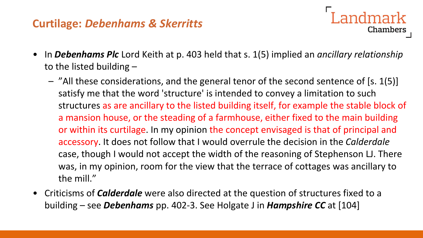## **Curtilage:** *Debenhams & Skerritts*

• In *Debenhams Plc* Lord Keith at p. 403 held that s. 1(5) implied an *ancillary relationship* to the listed building –

Landmark

- "All these considerations, and the general tenor of the second sentence of [s. 1(5)] satisfy me that the word 'structure' is intended to convey a limitation to such structures as are ancillary to the listed building itself, for example the stable block of a mansion house, or the steading of a farmhouse, either fixed to the main building or within its curtilage. In my opinion the concept envisaged is that of principal and accessory. It does not follow that I would overrule the decision in the *Calderdale* case, though I would not accept the width of the reasoning of Stephenson LJ. There was, in my opinion, room for the view that the terrace of cottages was ancillary to the mill."
- Criticisms of *Calderdale* were also directed at the question of structures fixed to a building – see *Debenhams* pp. 402-3. See Holgate J in *Hampshire CC* at [104]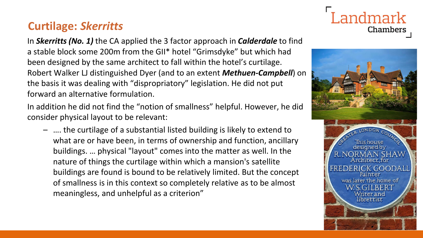## **Curtilage:** *Skerritts*

In *Skerritts (No. 1)* the CA applied the 3 factor approach in *Calderdale* to find a stable block some 200m from the GII\* hotel "Grimsdyke" but which had been designed by the same architect to fall within the hotel's curtilage. Robert Walker LJ distinguished Dyer (and to an extent *Methuen-Campbell*) on the basis it was dealing with "dispropriatory" legislation. He did not put forward an alternative formulation.

In addition he did not find the "notion of smallness" helpful. However, he did consider physical layout to be relevant:

– …. the curtilage of a substantial listed building is likely to extend to what are or have been, in terms of ownership and function, ancillary buildings. … physical "layout" comes into the matter as well. In the nature of things the curtilage within which a mansion's satellite buildings are found is bound to be relatively limited. But the concept of smallness is in this context so completely relative as to be almost meaningless, and unhelpful as a criterion"



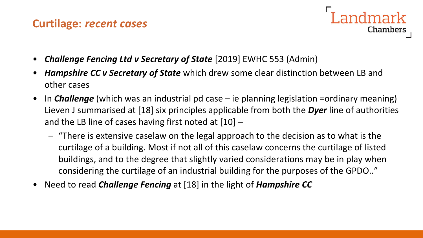#### **Curtilage:** *recent cases*



- *Challenge Fencing Ltd v Secretary of State* [2019] EWHC 553 (Admin)
- *Hampshire CC v Secretary of State* which drew some clear distinction between LB and other cases
- In *Challenge* (which was an industrial pd case ie planning legislation =ordinary meaning) Lieven J summarised at [18] six principles applicable from both the *Dyer* line of authorities and the LB line of cases having first noted at  $[10]$  –
	- "There is extensive caselaw on the legal approach to the decision as to what is the curtilage of a building. Most if not all of this caselaw concerns the curtilage of listed buildings, and to the degree that slightly varied considerations may be in play when considering the curtilage of an industrial building for the purposes of the GPDO.."
- Need to read *Challenge Fencing* at [18] in the light of *Hampshire CC*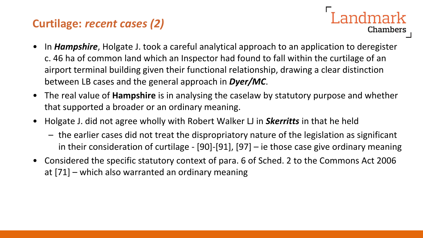## **Curtilage:** *recent cases (2)*

- In *Hampshire*, Holgate J. took a careful analytical approach to an application to deregister c. 46 ha of common land which an Inspector had found to fall within the curtilage of an airport terminal building given their functional relationship, drawing a clear distinction between LB cases and the general approach in *Dyer/MC*.
- The real value of **Hampshire** is in analysing the caselaw by statutory purpose and whether that supported a broader or an ordinary meaning.
- Holgate J. did not agree wholly with Robert Walker LJ in *Skerritts* in that he held
	- the earlier cases did not treat the dispropriatory nature of the legislation as significant in their consideration of curtilage - [90]-[91], [97] – ie those case give ordinary meaning
- Considered the specific statutory context of para. 6 of Sched. 2 to the Commons Act 2006 at [71] – which also warranted an ordinary meaning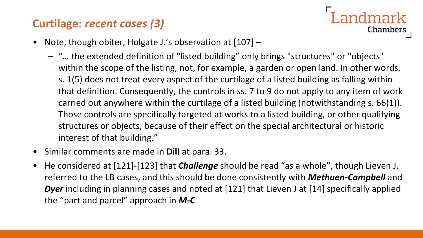## **Curtilage:** *recent cases (3)*



- Note, though obiter, Holgate J.'s observation at [107] -
	- "… the extended definition of "listed building" only brings "structures" or "objects" within the scope of the listing, not, for example, a garden or open land. In other words, s. 1(5) does not treat every aspect of the curtilage of a listed building as falling within that definition. Consequently, the controls in ss. 7 to 9 do not apply to any item of work carried out anywhere within the curtilage of a listed building (notwithstanding s. 66(1)). Those controls are specifically targeted at works to a listed building, or other qualifying structures or objects, because of their effect on the special architectural or historic interest of that building."
- Similar comments are made in **Dill** at para. 33.
- He considered at [121]-[123] that *Challenge* should be read "as a whole", though Lieven J. referred to the LB cases, and this should be done consistently with *Methuen-Campbell* and *Dyer* including in planning cases and noted at [121] that Lieven J at [14] specifically applied the "part and parcel" approach in *M-C*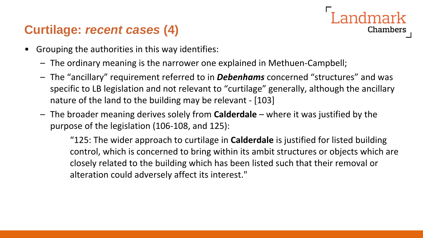## **Curtilage:** *recent cases* **(4)**

- Grouping the authorities in this way identifies:
	- The ordinary meaning is the narrower one explained in Methuen-Campbell;
	- The "ancillary" requirement referred to in *Debenhams* concerned "structures" and was specific to LB legislation and not relevant to "curtilage" generally, although the ancillary nature of the land to the building may be relevant - [103]
	- The broader meaning derives solely from **Calderdale** where it was justified by the purpose of the legislation (106-108, and 125):

"125: The wider approach to curtilage in **Calderdale** is justified for listed building control, which is concerned to bring within its ambit structures or objects which are closely related to the building which has been listed such that their removal or alteration could adversely affect its interest."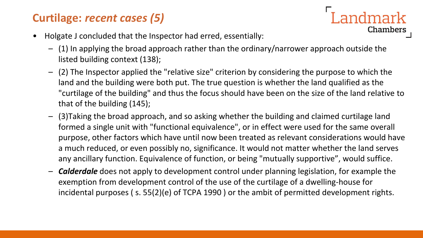## **Curtilage:** *recent cases (5)*

- Holgate J concluded that the Inspector had erred, essentially:
	- (1) In applying the broad approach rather than the ordinary/narrower approach outside the listed building context (138);
	- (2) The Inspector applied the "relative size" criterion by considering the purpose to which the land and the building were both put. The true question is whether the land qualified as the "curtilage of the building" and thus the focus should have been on the size of the land relative to that of the building (145);

**Landmark** 

- (3)Taking the broad approach, and so asking whether the building and claimed curtilage land formed a single unit with "functional equivalence", or in effect were used for the same overall purpose, other factors which have until now been treated as relevant considerations would have a much reduced, or even possibly no, significance. It would not matter whether the land serves any ancillary function. Equivalence of function, or being "mutually supportive", would suffice.
- *Calderdale* does not apply to development control under planning legislation, for example the exemption from development control of the use of the curtilage of a dwelling-house for incidental purposes ( s. 55(2)(e) of TCPA 1990 ) or the ambit of permitted development rights.